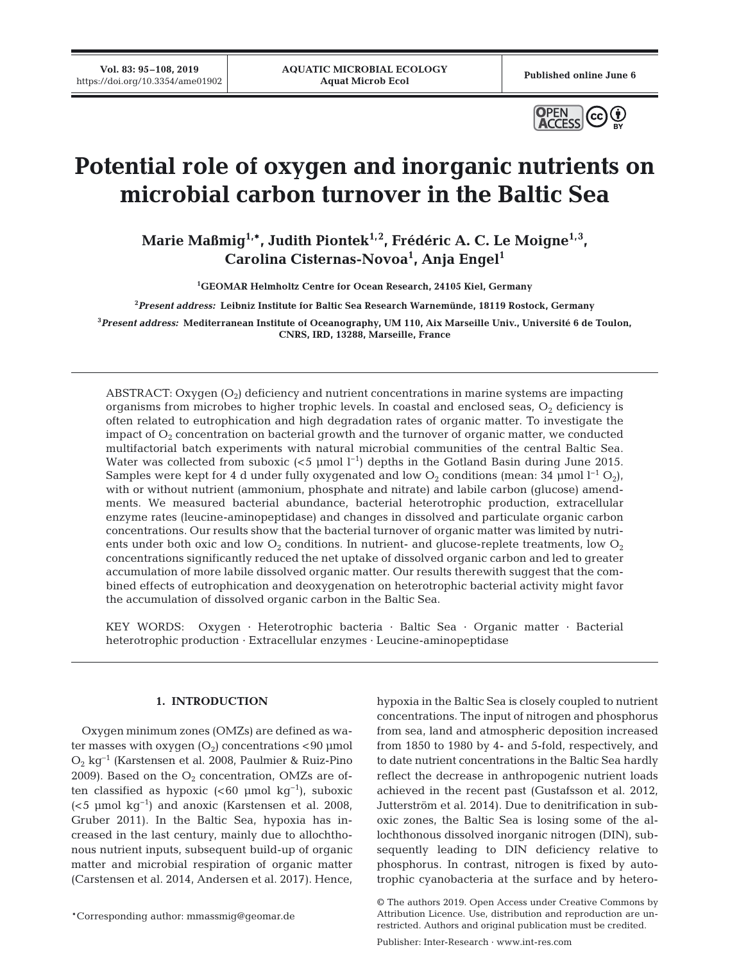**Vol. 83: 95–108, 2019**



# **Potential role of oxygen and inorganic nutrients on microbial carbon turnover in the Baltic Sea**

Marie Maßmig<sup>1,\*</sup>, Judith Piontek<sup>1,2</sup>, Frédéric A. C. Le Moigne<sup>1,3</sup>, **Carolina Cisternas-Novoa1 , Anja Engel1**

**1 GEOMAR Helmholtz Centre for Ocean Research, 24105 Kiel, Germany**

**2** *Present address:* **Leibniz Institute for Baltic Sea Research Warnemünde, 18119 Rostock, Germany**

**3** *Present address:* **Mediterranean Institute of Oceanography, UM 110, Aix Marseille Univ., Université 6 de Toulon, CNRS, IRD, 13288, Marseille, France**

ABSTRACT: Oxygen  $(O_2)$  deficiency and nutrient concentrations in marine systems are impacting organisms from microbes to higher trophic levels. In coastal and enclosed seas,  $O_2$  deficiency is often related to eutrophication and high degradation rates of organic matter. To investigate the impact of  $O_2$  concentration on bacterial growth and the turnover of organic matter, we conducted multifactorial batch experiments with natural microbial communities of the central Baltic Sea. Water was collected from suboxic (<5 µmol  $1^{-1}$ ) depths in the Gotland Basin during June 2015. Samples were kept for 4 d under fully oxygenated and low O<sub>2</sub> conditions (mean: 34 µmol  $1^{-1}$  O<sub>2</sub>), with or without nutrient (ammonium, phosphate and nitrate) and labile carbon (glucose) amendments. We measured bacterial abundance, bacterial heterotrophic production, extracellular enzyme rates (leucine-aminopeptidase) and changes in dissolved and particulate organic carbon concentrations. Our results show that the bacterial turnover of organic matter was limited by nutrients under both oxic and low  $O_2$  conditions. In nutrient- and glucose-replete treatments, low  $O_2$ concentrations significantly reduced the net uptake of dissolved organic carbon and led to greater accumulation of more labile dissolved organic matter. Our results therewith suggest that the combined effects of eutrophication and deoxygenation on heterotrophic bacterial activity might favor the accumulation of dissolved organic carbon in the Baltic Sea.

KEY WORDS: Oxygen · Heterotrophic bacteria · Baltic Sea · Organic matter · Bacterial heterotrophic production · Extracellular enzymes · Leucine-aminopeptidase

# **1. INTRODUCTION**

Oxygen minimum zones (OMZs) are defined as water masses with oxygen  $(O_2)$  concentrations <90 µmol O2 kg<sup>−</sup><sup>1</sup> (Karstensen et al. 2008, Paulmier & Ruiz-Pino 2009). Based on the  $O_2$  concentration, OMZs are often classified as hypoxic (<60 µmol kg<sup>-1</sup>), suboxic ( $5 \text{ }\mu\text{mol kg}^{-1}$ ) and anoxic (Karstensen et al. 2008, Gruber 2011). In the Baltic Sea, hypoxia has in creased in the last century, mainly due to allochthonous nutrient inputs, subsequent build-up of organic matter and microbial respiration of organic matter (Carstensen et al. 2014, Andersen et al. 2017). Hence,

\*Corresponding author: mmassmig@geomar.de

hypoxia in the Baltic Sea is closely coupled to nutrient concentrations. The input of nitrogen and phosphorus from sea, land and atmospheric deposition increased from 1850 to 1980 by 4- and 5-fold, respectively, and to date nutrient concentrations in the Baltic Sea hardly re flect the decrease in anthropogenic nutrient loads achieved in the recent past (Gustafsson et al. 2012, Jutterström et al. 2014). Due to denitrification in suboxic zones, the Baltic Sea is losing some of the allochthonous dissolved inorganic nitrogen (DIN), sub sequently leading to DIN deficiency relative to phosphorus. In contrast, nitrogen is fixed by autotrophic cyanobacteria at the surface and by hetero-

<sup>©</sup> The authors 2019. Open Access under Creative Commons by Attribution Licence. Use, distribution and reproduction are unrestricted. Authors and original publication must be credited.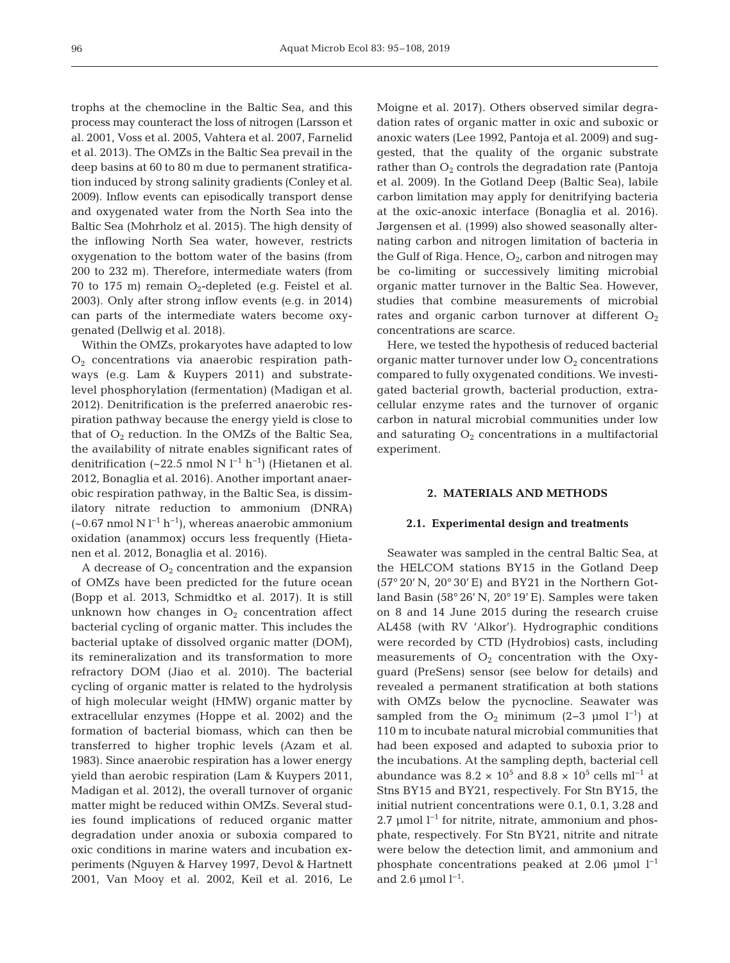trophs at the chemocline in the Baltic Sea, and this process may counteract the loss of nitrogen (Larsson et al. 2001, Voss et al. 2005, Vahtera et al. 2007, Farnelid et al. 2013). The OMZs in the Baltic Sea prevail in the deep basins at 60 to 80 m due to permanent stratification induced by strong salinity gradients (Conley et al. 2009). Inflow events can episodically transport dense and oxygenated water from the North Sea into the Baltic Sea (Mohrholz et al. 2015). The high density of the inflowing North Sea water, however, restricts oxygenation to the bottom water of the basins (from 200 to 232 m). Therefore, intermediate waters (from 70 to 175 m) remain  $O_2$ -depleted (e.g. Feistel et al. 2003). Only after strong inflow events (e.g. in 2014) can parts of the intermediate waters become oxygenated (Dellwig et al. 2018).

Within the OMZs, prokaryotes have adapted to low  $O<sub>2</sub>$  concentrations via anaerobic respiration pathways (e.g. Lam & Kuypers 2011) and substratelevel phosphorylation (fermentation) (Madigan et al. 2012). Denitrification is the preferred anaerobic respiration pathway because the energy yield is close to that of  $O_2$  reduction. In the OMZs of the Baltic Sea, the availability of nitrate enables significant rates of denitrification (~22.5 nmol N l<sup>-1</sup> h<sup>-1</sup>) (Hietanen et al. 2012, Bonaglia et al. 2016). Another important anaerobic respiration pathway, in the Baltic Sea, is dissimilatory nitrate reduction to ammonium (DNRA)  $(-0.67 \text{ nmol N} \cdot 1^{-1} \text{ h}^{-1})$ , whereas anaerobic ammonium oxidation (anammox) occurs less frequently (Hietanen et al. 2012, Bonaglia et al. 2016).

A decrease of  $O_2$  concentration and the expansion of OMZs have been predicted for the future ocean (Bopp et al. 2013, Schmidtko et al. 2017). It is still unknown how changes in  $O_2$  concentration affect bacterial cycling of organic matter. This includes the bacterial uptake of dissolved organic matter (DOM), its remineralization and its transformation to more refractory DOM (Jiao et al. 2010). The bacterial cycling of organic matter is related to the hydrolysis of high molecular weight (HMW) organic matter by extracellular enzymes (Hoppe et al. 2002) and the formation of bacterial biomass, which can then be transferred to higher trophic levels (Azam et al. 1983). Since anaerobic respiration has a lower energy yield than aerobic respiration (Lam & Kuypers 2011, Madigan et al. 2012), the overall turnover of organic matter might be reduced within OMZs. Several studies found implications of reduced organic matter degradation under anoxia or suboxia compared to oxic conditions in marine waters and incubation experiments (Nguyen & Harvey 1997, Devol & Hartnett 2001, Van Mooy et al. 2002, Keil et al. 2016, Le Moigne et al. 2017). Others observed similar degradation rates of organic matter in oxic and suboxic or anoxic waters (Lee 1992, Pantoja et al. 2009) and suggested, that the quality of the organic substrate rather than  $O_2$  controls the degradation rate (Pantoja et al. 2009). In the Gotland Deep (Baltic Sea), labile carbon limitation may apply for denitrifying bacteria at the oxic-anoxic interface (Bonaglia et al. 2016). Jørgensen et al. (1999) also showed seasonally alternating carbon and nitrogen limitation of bacteria in the Gulf of Riga. Hence,  $O_2$ , carbon and nitrogen may be co-limiting or successively limiting microbial organic matter turnover in the Baltic Sea. However, studies that combine measurements of microbial rates and organic carbon turnover at different  $O_2$ concentrations are scarce.

Here, we tested the hypothesis of reduced bacterial organic matter turnover under low  $O_2$  concentrations compared to fully oxygenated conditions. We investigated bacterial growth, bacterial production, extracellular enzyme rates and the turnover of organic carbon in natural microbial communities under low and saturating  $O_2$  concentrations in a multifactorial experiment.

## **2. MATERIALS AND METHODS**

# **2.1. Experimental design and treatments**

Seawater was sampled in the central Baltic Sea, at the HELCOM stations BY15 in the Gotland Deep  $(57°20' N, 20°30' E)$  and BY21 in the Northern Gotland Basin (58° 26' N, 20° 19' E). Samples were taken on 8 and 14 June 2015 during the research cruise AL458 (with RV 'Alkor'). Hydrographic conditions were recorded by CTD (Hydrobios) casts, including measurements of  $O_2$  concentration with the Oxyguard (PreSens) sensor (see below for details) and revealed a permanent stratification at both stations with OMZs below the pycnocline. Seawater was sampled from the  $O_2$  minimum (2–3 µmol l<sup>-1</sup>) at 110 m to incubate natural microbial communities that had been ex posed and adapted to suboxia prior to the incubations. At the sampling depth, bacterial cell abundance was  $8.2 \times 10^5$  and  $8.8 \times 10^5$  cells ml<sup>-1</sup> at Stns BY15 and BY21, respectively. For Stn BY15, the initial nutrient concentrations were 0.1, 0.1, 3.28 and 2.7 µmol l<sup>-1</sup> for nitrite, nitrate, ammonium and phosphate, respectively. For Stn BY21, nitrite and nitrate were below the detection limit, and ammonium and phosphate concentrations peaked at 2.06 µmol l−1 and 2.6 µmol  $l^{-1}$ .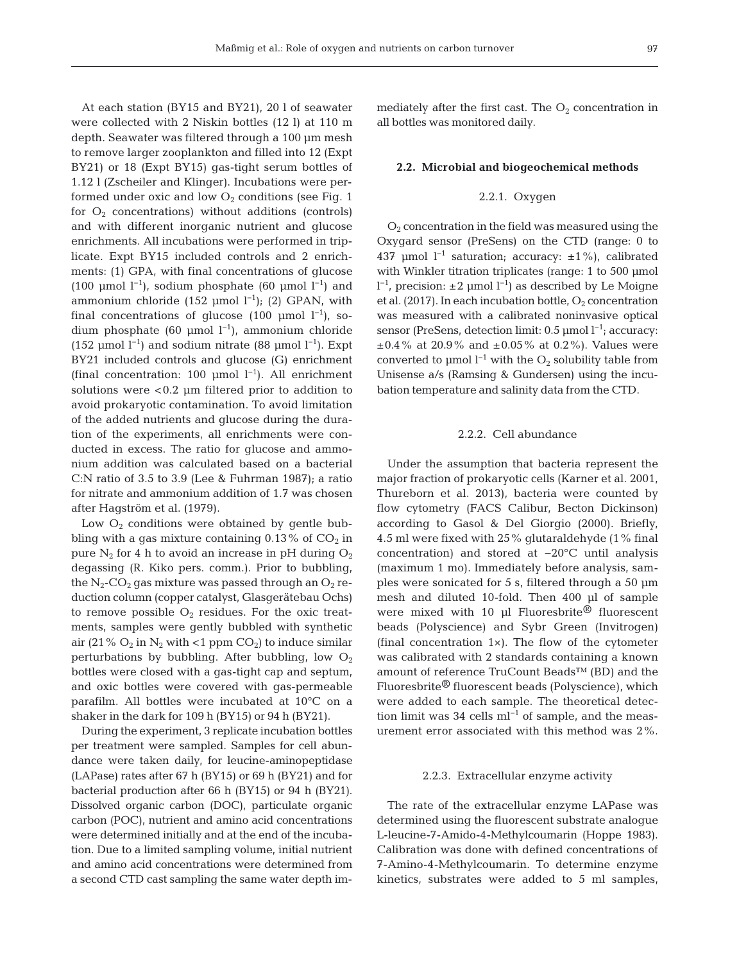At each station (BY15 and BY21), 20 l of seawater were collected with 2 Niskin bottles (12 l) at 110 m depth. Seawater was filtered through a 100 µm mesh to remove larger zooplankton and filled into 12 (Expt BY21) or 18 (Expt BY15) gas-tight serum bottles of 1.12 l (Zscheiler and Klinger). Incubations were performed under oxic and low  $O_2$  conditions (see Fig. 1) for  $O_2$  concentrations) without additions (controls) and with different inorganic nutrient and glucose enrichments. All incubations were performed in triplicate. Expt BY15 included controls and 2 enrichments: (1) GPA, with final concentrations of glucose (100 µmol l<sup>-1</sup>), sodium phosphate (60 µmol l<sup>-1</sup>) and ammonium chloride (152 µmol l<sup>-1</sup>); (2) GPAN, with final concentrations of glucose (100 µmol  $l^{-1}$ ), sodium phosphate (60 µmol l<sup>-1</sup>), ammonium chloride (152 µmol l<sup>-1</sup>) and sodium nitrate (88 µmol l<sup>-1</sup>). Expt BY21 included controls and glucose (G) enrichment (final concentration: 100 µmol  $l^{-1}$ ). All enrichment solutions were <0.2 µm filtered prior to addition to avoid prokaryotic contamination. To avoid limitation of the added nutrients and glucose during the duration of the experiments, all enrichments were conducted in excess. The ratio for glucose and ammonium addition was calculated based on a bacterial C:N ratio of 3.5 to 3.9 (Lee & Fuhrman 1987); a ratio for nitrate and ammonium addition of 1.7 was chosen after Hagström et al. (1979).

Low  $O_2$  conditions were obtained by gentle bubbling with a gas mixture containing  $0.13\%$  of  $CO<sub>2</sub>$  in pure  $N_2$  for 4 h to avoid an increase in pH during  $O_2$ degassing (R. Kiko pers. comm.). Prior to bubbling, the  $N_2$ -CO<sub>2</sub> gas mixture was passed through an O<sub>2</sub> reduction column (copper catalyst, Glasgerätebau Ochs) to remove possible  $O_2$  residues. For the oxic treatments, samples were gently bubbled with synthetic air (21%  $O_2$  in  $N_2$  with <1 ppm  $CO_2$ ) to induce similar perturbations by bubbling. After bubbling, low  $O_2$ bottles were closed with a gas-tight cap and septum, and oxic bottles were covered with gas-permeable parafilm. All bottles were incubated at 10°C on a shaker in the dark for 109 h (BY15) or 94 h (BY21).

During the experiment, 3 replicate incubation bottles per treatment were sampled. Samples for cell abundance were taken daily, for leucine-aminopeptidase (LAPase) rates after 67 h (BY15) or 69 h (BY21) and for bacterial production after 66 h (BY15) or 94 h (BY21). Dissolved organic carbon (DOC), particulate organic carbon (POC), nutrient and amino acid concentrations were determined initially and at the end of the incubation. Due to a limited sampling volume, initial nutrient and amino acid concentrations were determined from a second CTD cast sampling the same water depth immediately after the first cast. The  $O_2$  concentration in all bottles was monitored daily.

#### **2.2. Microbial and biogeochemical methods**

# 2.2.1. Oxygen

O2 concentration in the field was measured using the Oxygard sensor (PreSens) on the CTD (range: 0 to 437 µmol l−1 saturation; accuracy: ±1%), calibrated with Winkler titration triplicates (range: 1 to 500 µmol l −1, precision: ±2 µmol l−1) as described by Le Moigne et al. (2017). In each incubation bottle,  $O_2$  concentration was measured with a calibrated noninvasive optical sensor (PreSens, detection limit: 0.5 μmol l<sup>-1</sup>; accuracy:  $\pm 0.4$ % at 20.9% and  $\pm 0.05$ % at 0.2%). Values were converted to µmol  $l^{-1}$  with the O<sub>2</sub> solubility table from Unisense a/s (Ramsing & Gundersen) using the incubation temperature and salinity data from the CTD.

## 2.2.2. Cell abundance

Under the assumption that bacteria represent the major fraction of prokaryotic cells (Karner et al. 2001, Thureborn et al. 2013), bacteria were counted by flow cytometry (FACS Calibur, Becton Dickinson) according to Gasol & Del Giorgio (2000). Briefly, 4.5 ml were fixed with 25% glutaraldehyde (1% final concentration) and stored at −20°C until analysis (maximum 1 mo). Immediately before analysis, samples were sonicated for 5 s, filtered through a 50 µm mesh and diluted 10-fold. Then 400 µl of sample were mixed with 10 µl Fluoresbrite® fluorescent beads (Polyscience) and Sybr Green (Invitrogen) (final concentration 1×). The flow of the cytometer was calibrated with 2 standards containing a known amount of reference TruCount Beads™ (BD) and the Fluoresbrite® fluorescent beads (Polyscience), which were added to each sample. The theoretical detection limit was 34 cells  $ml^{-1}$  of sample, and the measurement error associated with this method was 2%.

### 2.2.3. Extracellular enzyme activity

The rate of the extracellular enzyme LAPase was determined using the fluorescent substrate analogue L-leucine-7-Amido-4-Methylcoumarin (Hoppe 1983). Calibration was done with defined concentrations of 7-Amino-4-Methylcoumarin. To determine enzyme kinetics, substrates were added to 5 ml samples,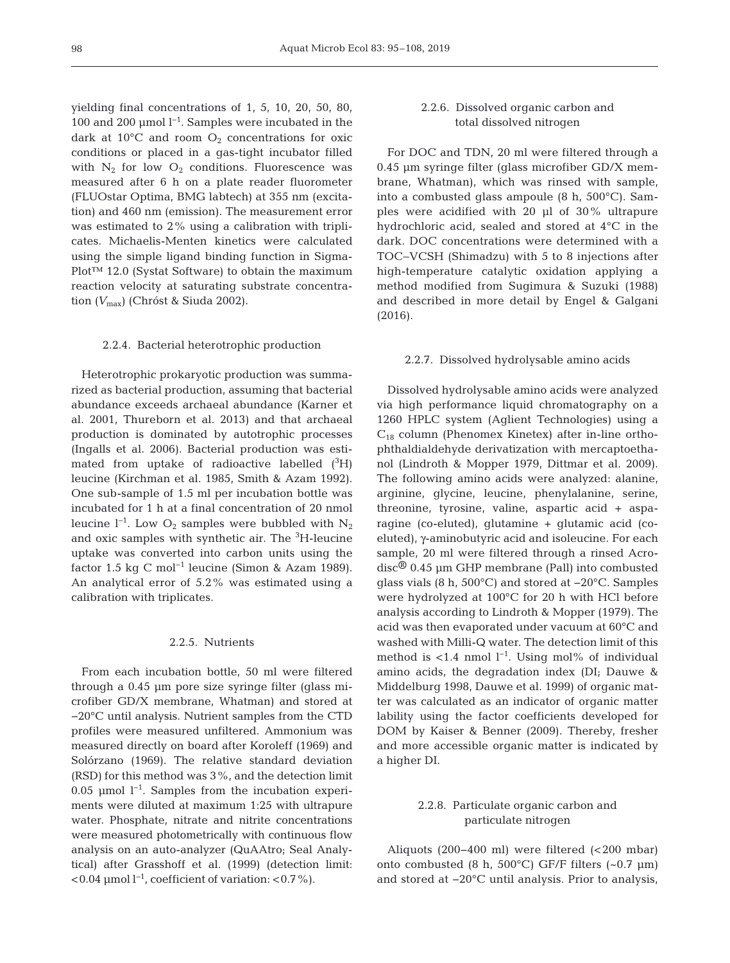yielding final concentrations of 1, 5, 10, 20, 50, 80, 100 and 200 µmol l−1. Samples were incubated in the dark at 10 $^{\circ}$ C and room  $O_2$  concentrations for oxic conditions or placed in a gas-tight incubator filled with  $N_2$  for low  $O_2$  conditions. Fluorescence was measured after 6 h on a plate reader fluorometer (FLUOstar Optima, BMG labtech) at 355 nm (excitation) and 460 nm (emission). The measurement error was estimated to 2% using a calibration with triplicates. Michaelis-Menten kinetics were calculated using the simple ligand binding function in Sigma-Plot™ 12.0 (Systat Software) to obtain the maximum reaction velocity at saturating substrate concentration *(V*max) (Chróst & Siuda 2002).

#### 2.2.4. Bacterial heterotrophic production

Heterotrophic prokaryotic production was summarized as bacterial production, assuming that bacterial abundance exceeds archaeal abundance (Karner et al. 2001, Thureborn et al. 2013) and that archaeal production is dominated by autotrophic processes (Ingalls et al. 2006). Bacterial production was estimated from uptake of radioactive labelled  $(^3H)$ leucine (Kirchman et al. 1985, Smith & Azam 1992). One sub-sample of 1.5 ml per incubation bottle was incubated for 1 h at a final concentration of 20 nmol leucine l<sup>−1</sup>. Low  $O_2$  samples were bubbled with  $N_2$ and oxic samples with synthetic air. The <sup>3</sup>H-leucine uptake was converted into carbon units using the factor 1.5 kg C mol−1 leucine (Simon & Azam 1989). An analytical error of 5.2% was estimated using a calibration with triplicates.

# 2.2.5. Nutrients

From each incubation bottle, 50 ml were filtered through a 0.45 µm pore size syringe filter (glass microfiber GD/X membrane, Whatman) and stored at −20°C until analysis. Nutrient samples from the CTD profiles were measured unfiltered. Ammonium was measured directly on board after Koroleff (1969) and Solórzano (1969). The relative standard deviation (RSD) for this method was 3%, and the detection limit 0.05 µmol l−1. Samples from the incubation experiments were diluted at maximum 1:25 with ultrapure water. Phosphate, nitrate and nitrite concentrations were measured photometrically with continuous flow analysis on an auto-analyzer (QuAAtro; Seal Analy tical) after Grasshoff et al. (1999) (detection limit:  $< 0.04$  µmol l<sup>-1</sup>, coefficient of variation:  $< 0.7\%$ ).

# 2.2.6. Dissolved organic carbon and total dissolved nitrogen

For DOC and TDN, 20 ml were filtered through a 0.45 µm syringe filter (glass microfiber GD/X membrane, Whatman), which was rinsed with sample, into a combusted glass ampoule (8 h, 500°C). Samples were acidified with 20 µl of 30% ultrapure hydrochloric acid, sealed and stored at 4°C in the dark. DOC concentrations were determined with a TOC−VCSH (Shimadzu) with 5 to 8 injections after high-temperature catalytic oxidation applying a method modified from Sugimura & Suzuki (1988) and described in more detail by Engel & Galgani (2016).

#### 2.2.7. Dissolved hydrolysable amino acids

Dissolved hydrolysable amino acids were analyzed via high performance liquid chromatography on a 1260 HPLC system (Aglient Technologies) using a  $C_{18}$  column (Phenomex Kinetex) after in-line orthophthaldialdehyde derivatization with mercaptoetha nol (Lindroth & Mopper 1979, Dittmar et al. 2009). The following amino acids were analyzed: alanine, arginine, glycine, leucine, phenylalanine, serine, threonine, tyrosine, valine, aspartic acid + aspa ragine (co-eluted), glutamine + glutamic acid (coeluted), γ-aminobutyric acid and isoleucine. For each sample, 20 ml were filtered through a rinsed Acrodisc® 0.45 µm GHP membrane (Pall) into combusted glass vials (8 h, 500°C) and stored at −20°C. Samples were hydrolyzed at 100°C for 20 h with HCl before analysis according to Lindroth & Mopper (1979). The acid was then evaporated under vacuum at 60°C and washed with Milli-Q water. The detection limit of this method is <1.4 nmol  $l^{-1}$ . Using mol% of individual amino acids, the degradation index (DI; Dauwe & Middelburg 1998, Dauwe et al. 1999) of organic matter was calculated as an indicator of organic matter lability using the factor coefficients developed for DOM by Kaiser & Benner (2009). Thereby, fresher and more accessible organic matter is indicated by a higher DI.

# 2.2.8. Particulate organic carbon and particulate nitrogen

Aliquots (200−400 ml) were filtered (<200 mbar) onto combusted (8 h, 500°C) GF/F filters (~0.7 µm) and stored at −20°C until analysis. Prior to analysis,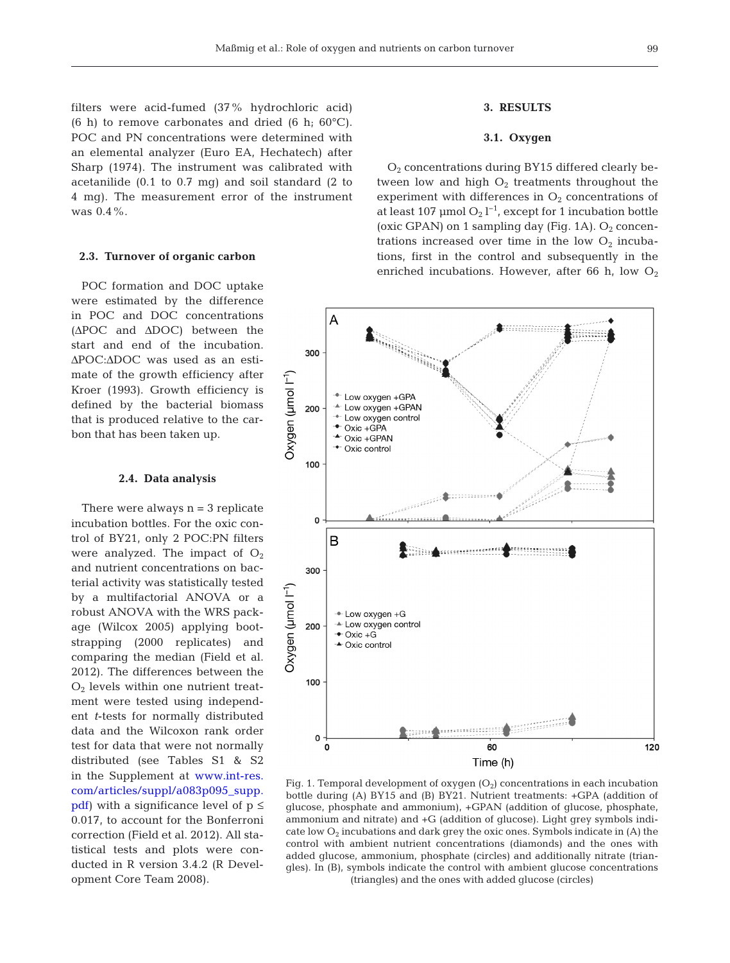filters were acid-fumed (37% hydrochloric acid) (6 h) to remove carbonates and dried (6 h;  $60^{\circ}$ C). POC and PN concentrations were determined with an elemental analyzer (Euro EA, Hechatech) after Sharp (1974). The instrument was calibrated with acetanilide (0.1 to 0.7 mg) and soil standard (2 to 4 mg). The measurement error of the instrument was 0.4%.

## **2.3. Turnover of organic carbon**

POC formation and DOC uptake were estimated by the difference in POC and DOC concentrations (ΔPOC and ΔDOC) between the start and end of the incubation. ΔPOC:ΔDOC was used as an estimate of the growth efficiency after Kroer (1993). Growth efficiency is defined by the bacterial biomass that is produced relative to the carbon that has been taken up.

# **2.4. Data analysis**

There were always  $n = 3$  replicate incubation bottles. For the oxic control of BY21, only 2 POC:PN filters were analyzed. The impact of  $O<sub>2</sub>$ and nutrient concentrations on bacterial activity was statistically tested by a multifactorial ANOVA or a robust ANOVA with the WRS package (Wilcox 2005) applying bootstrapping (2000 replicates) and comparing the median (Field et al. 2012). The differences between the  $O<sub>2</sub>$  levels within one nutrient treatment were tested using independent *t*-tests for normally distributed data and the Wilcoxon rank order test for data that were not normally distributed (see Tables S1 & S2 in the Supplement at www.int-res. com/articles/suppl/a083p095\_supp. [pdf\)](https://www.int-res.com/articles/suppl/a083p095_supp.pdf) with a significance level of  $p \leq$ 0.017, to account for the Bonferroni correction (Field et al. 2012). All statistical tests and plots were conducted in R version 3.4.2 (R Development Core Team 2008).

# **3. RESULTS**

# **3.1. Oxygen**

O2 concentrations during BY15 differed clearly be tween low and high  $O_2$  treatments throughout the experiment with differences in  $O_2$  concentrations of at least 107  $\mu$ mol O<sub>2</sub> l<sup>-1</sup>, except for 1 incubation bottle (oxic GPAN) on 1 sampling day (Fig. 1A).  $O<sub>2</sub>$  concentrations increased over time in the low  $O_2$  incubations, first in the control and subsequently in the enriched incubations. However, after 66 h, low  $O_2$ 



Fig. 1. Temporal development of oxygen  $(O<sub>2</sub>)$  concentrations in each incubation bottle during (A) BY15 and (B) BY21. Nutrient treatments: +GPA (addition of glucose, phosphate and ammonium), +GPAN (addition of glucose, phosphate, ammonium and nitrate) and +G (addition of glucose). Light grey symbols indicate low  $O_2$  incubations and dark grey the oxic ones. Symbols indicate in (A) the control with ambient nutrient concentrations (diamonds) and the ones with added glucose, ammonium, phosphate (circles) and additionally nitrate (triangles). In (B), symbols indicate the control with ambient glucose concentrations (triangles) and the ones with added glucose (circles)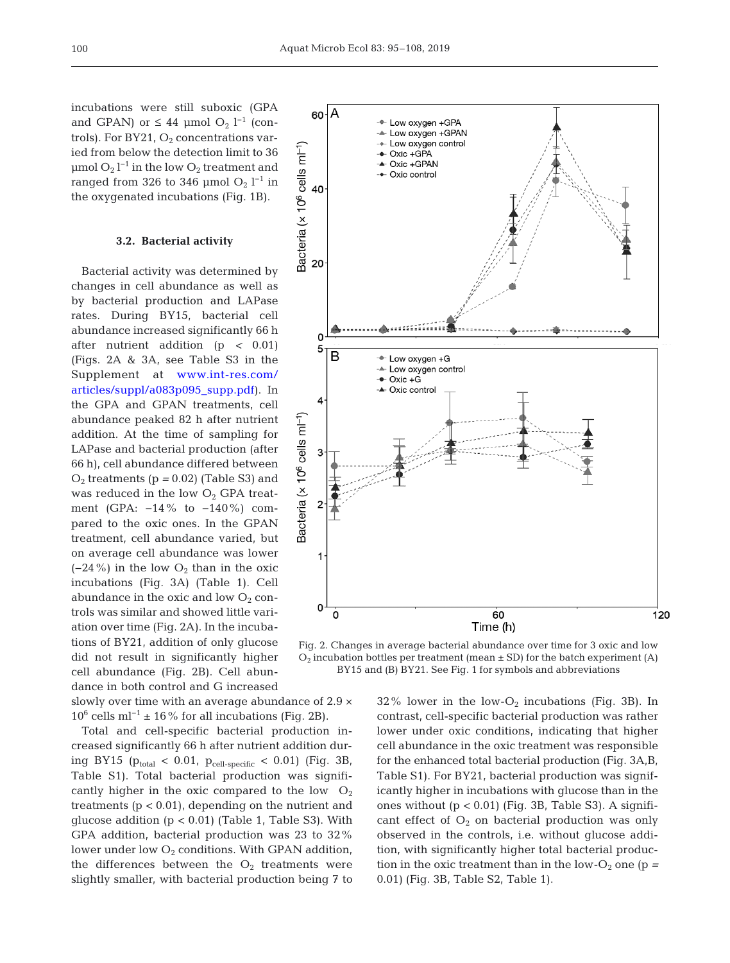incubations were still suboxic (GPA and GPAN) or  $\leq 44$  µmol O<sub>2</sub> l<sup>-1</sup> (controls). For BY21,  $O_2$  concentrations varied from below the detection limit to 36  $\mu$ mol O<sub>2</sub> l<sup>-1</sup> in the low O<sub>2</sub> treatment and ranged from 326 to 346 µmol  $O_2$  l<sup>-1</sup> in the oxygenated incubations (Fig. 1B).

## **3.2. Bacterial activity**

Bacterial activity was determined by changes in cell abundance as well as by bacterial production and LAPase rates. During BY15, bacterial cell abundance increased significantly 66 h after nutrient addition (p *<* 0.01) (Figs. 2A & 3A, see Table S3 in the Supplement at www.int-res.com/ articles/suppl/a083p095\_supp.pdf). In the GPA and GPAN treatments, cell abundance peaked 82 h after nutrient addition. At the time of sampling for LAPase and bacterial production (after 66 h), cell abundance differed between  $O_2$  treatments ( $p = 0.02$ ) (Table S3) and was reduced in the low  $O<sub>2</sub>$  GPA treatment (GPA: −14% to −140%) compared to the oxic ones. In the GPAN treatment, cell abundance varied, but on average cell abundance was lower  $(-24\%)$  in the low  $O_2$  than in the oxic incubations (Fig. 3A) (Table 1). Cell abundance in the oxic and low  $O_2$  controls was similar and showed little variation over time (Fig. 2A). In the incubations of BY21, addition of only glucose did not result in significantly higher cell abundance (Fig. 2B). Cell abundance in both control and G increased

slowly over time with an average abundance of 2.9 ×  $10^6$  cells ml<sup>-1</sup> ± 16% for all incubations (Fig. 2B).

Total and cell-specific bacterial production increased significantly 66 h after nutrient addition during BY15 ( $p_{total}$  < 0.01,  $p_{cell-specific}$  < 0.01) (Fig. 3B, Table S1). Total bacterial production was significantly higher in the oxic compared to the low  $O_2$ treatments  $(p < 0.01)$ , depending on the nutrient and glucose addition  $(p < 0.01)$  (Table 1, Table S3). With GPA addition, bacterial production was 23 to 32% lower under low  $O_2$  conditions. With GPAN addition, the differences between the  $O_2$  treatments were slightly smaller, with bacterial production being 7 to



Fig. 2. Changes in average bacterial abundance over time for 3 oxic and low  $O_2$  incubation bottles per treatment (mean  $\pm$  SD) for the batch experiment (A) BY15 and (B) BY21. See Fig. 1 for symbols and abbreviations

 $32\%$  lower in the low-O<sub>2</sub> incubations (Fig. 3B). In contrast, cell-specific bacterial production was rather lower under oxic conditions, indicating that higher cell abundance in the oxic treatment was responsible for the enhanced total bacterial production (Fig. 3A,B, Table S1). For BY21, bacterial production was significantly higher in incubations with glucose than in the ones without  $(p < 0.01)$  (Fig. 3B, Table S3). A significant effect of  $O_2$  on bacterial production was only observed in the controls, i.e. without glucose addition, with significantly higher total bacterial production in the oxic treatment than in the low- $O_2$  one (p = 0.01) (Fig. 3B, Table S2, Table 1).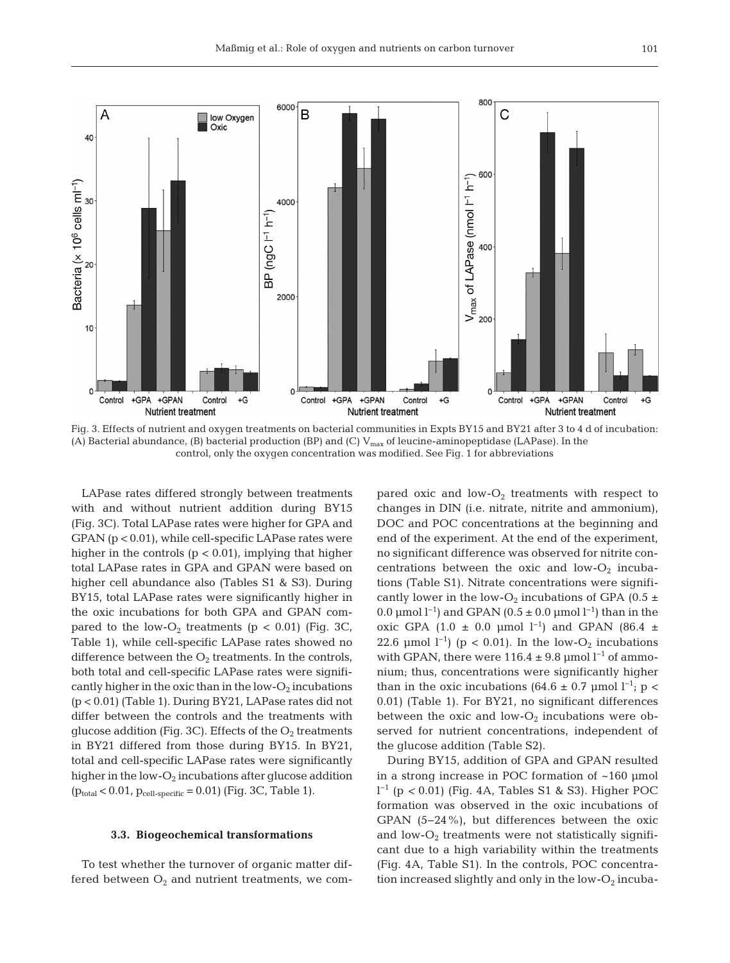

Fig. 3. Effects of nutrient and oxygen treatments on bacterial communities in Expts BY15 and BY21 after 3 to 4 d of incubation: (A) Bacterial abundance, (B) bacterial production (BP) and (C)  $V_{max}$  of leucine-aminopeptidase (LAPase). In the control, only the oxygen concentration was modified. See Fig. 1 for abbreviations

LAPase rates differed strongly between treatments with and without nutrient addition during BY15 (Fig. 3C). Total LAPase rates were higher for GPA and GPAN (p < 0.01), while cell-specific LAPase rates were higher in the controls  $(p < 0.01)$ , implying that higher total LAPase rates in GPA and GPAN were based on higher cell abundance also (Tables S1 & S3). During BY15, total LAPase rates were significantly higher in the oxic incubations for both GPA and GPAN compared to the low- $O_2$  treatments (p < 0.01) (Fig. 3C, Table 1), while cell-specific LAPase rates showed no difference between the  $O_2$  treatments. In the controls, both total and cell-specific LAPase rates were significantly higher in the oxic than in the low- $O_2$  incubations (p < 0.01) (Table 1). During BY21, LAPase rates did not differ between the controls and the treatments with glucose addition (Fig. 3C). Effects of the  $O_2$  treatments in BY21 differed from those during BY15. In BY21, total and cell-specific LAPase rates were significantly higher in the low- $O_2$  incubations after glucose addition  $(p_{total} < 0.01, p_{cell-specific} = 0.01)$  (Fig. 3C, Table 1).

### **3.3. Biogeochemical transformations**

To test whether the turnover of organic matter differed between  $O_2$  and nutrient treatments, we compared oxic and low- $O_2$  treatments with respect to changes in DIN (i.e. nitrate, nitrite and ammonium), DOC and POC concentrations at the beginning and end of the experiment. At the end of the experiment, no significant difference was observed for nitrite concentrations between the oxic and low- $O_2$  incubations (Table S1). Nitrate concentrations were signifi cantly lower in the low-O<sub>2</sub> incubations of GPA (0.5  $\pm$ 0.0 µmol  $l^{-1}$ ) and GPAN (0.5 ± 0.0 µmol  $l^{-1}$ ) than in the oxic GPA (1.0 ± 0.0 µmol l<sup>-1</sup>) and GPAN (86.4 ± 22.6 µmol  $l^{-1}$ ) (p < 0.01). In the low-O<sub>2</sub> incubations with GPAN, there were  $116.4 \pm 9.8$  µmol l<sup>-1</sup> of ammonium; thus, concentrations were significantly higher than in the oxic incubations (64.6 ± 0.7 µmol  $l^{-1}$ ; p < 0.01) (Table 1). For BY21, no significant differences between the oxic and low- $O_2$  incubations were observed for nutrient concentrations, independent of the glucose addition (Table S2).

During BY15, addition of GPA and GPAN resulted in a strong increase in POC formation of ~160 µmol l −1 (p *<* 0.01) (Fig. 4A, Tables S1 & S3). Higher POC formation was observed in the oxic incubations of GPAN (5−24%), but differences between the oxic and  $low-O<sub>2</sub>$  treatments were not statistically significant due to a high variability within the treatments (Fig. 4A, Table S1). In the controls, POC concentration increased slightly and only in the low- $O_2$  incuba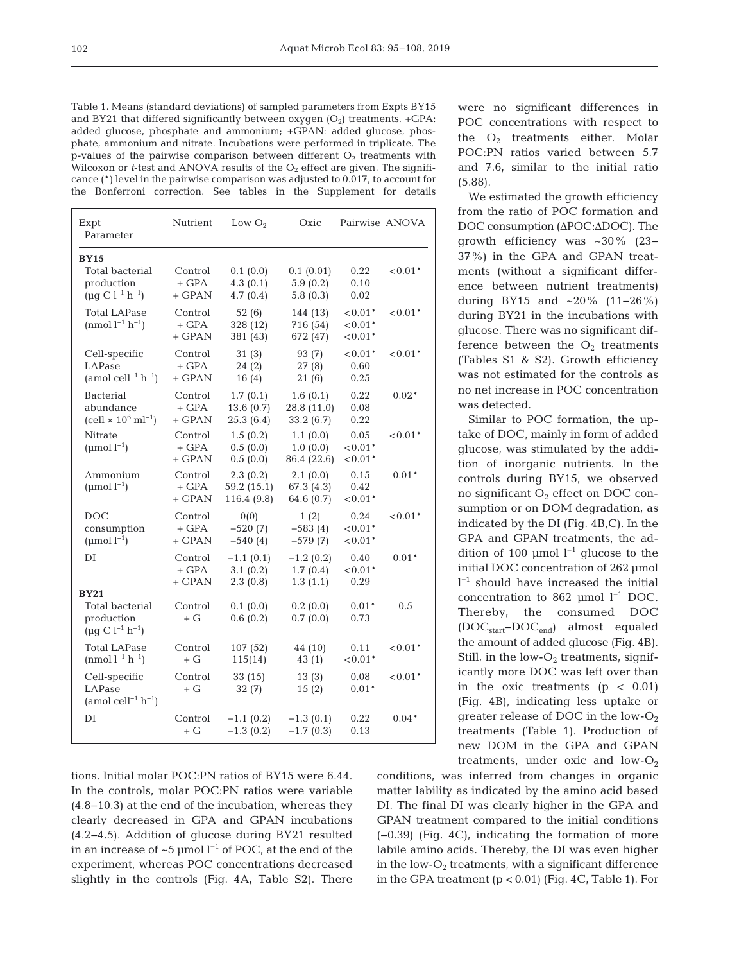Table 1. Means (standard deviations) of sampled parameters from Expts BY15 and BY21 that differed significantly between oxygen  $(O_2)$  treatments. +GPA: added glucose, phosphate and ammonium; +GPAN: added glucose, phosphate, ammonium and nitrate. Incubations were performed in triplicate. The p-values of the pairwise comparison between different  $O_2$  treatments with Wilcoxon or  $t$ -test and ANOVA results of the  $O_2$  effect are given. The significance (\*) level in the pairwise comparison was adjusted to 0.017, to account for the Bonferroni correction. See tables in the Supplement for details

| Expt<br>Parameter                                                         | Nutrient                       | Low $O2$                               | Oxic                                 |                                 | Pairwise ANOVA |
|---------------------------------------------------------------------------|--------------------------------|----------------------------------------|--------------------------------------|---------------------------------|----------------|
| <b>BY15</b><br>Total bacterial<br>production<br>$(\mu q C l^{-1} h^{-1})$ | Control<br>$+$ GPA<br>$+$ GPAN | 0.1(0.0)<br>4.3(0.1)<br>4.7(0.4)       | 0.1(0.01)<br>5.9(0.2)<br>5.8(0.3)    | 0.22<br>0.10<br>0.02            | $0.01*$        |
| <b>Total LAPase</b><br>(nmol $l^{-1}$ h <sup>-1</sup> )                   | Control<br>+ GPA<br>$+$ GPAN   | 52(6)<br>328 (12)<br>381 (43)          | 144 (13)<br>716 (54)<br>672 (47)     | $0.01*$<br>$0.01*$<br>$< 0.01*$ | $0.01*$        |
| Cell-specific<br>LAPase<br>(amol cell <sup>-1</sup> $h^{-1}$ )            | Control<br>$+$ GPA<br>$+$ GPAN | 31(3)<br>24(2)<br>16(4)                | 93 (7)<br>27(8)<br>21(6)             | $0.01*$<br>0.60<br>0.25         | $0.01*$        |
| <b>Bacterial</b><br>abundance<br>$(cell \times 10^6 \text{ ml}^{-1})$     | Control<br>$+$ GPA<br>+ GPAN   | 1.7(0.1)<br>13.6(0.7)<br>25.3(6.4)     | 1.6(0.1)<br>28.8 (11.0)<br>33.2(6.7) | 0.22<br>0.08<br>0.22            | $0.02*$        |
| Nitrate<br>( $\mu$ mol $l^{-1}$ )                                         | Control<br>$+$ GPA<br>+ GPAN   | 1.5(0.2)<br>0.5(0.0)<br>0.5(0.0)       | 1.1(0.0)<br>1.0(0.0)<br>86.4 (22.6)  | 0.05<br>$0.01*$<br>$0.01*$      | $< 0.01*$      |
| Ammonium<br>(µmol $l^{-1}$ )                                              | Control<br>$+$ GPA<br>$+$ GPAN | 2.3(0.2)<br>59.2 (15.1)<br>116.4 (9.8) | 2.1(0.0)<br>67.3 (4.3)<br>64.6 (0.7) | 0.15<br>0.42<br>$0.01*$         | $0.01*$        |
| DOC<br>consumption<br>$(\text{µmol } l^{-1})$                             | Control<br>$+$ GPA<br>$+$ GPAN | 0(0)<br>$-520(7)$<br>$-540(4)$         | 1(2)<br>$-583(4)$<br>$-579(7)$       | 0.24<br>$0.01*$<br>$0.01*$      | $0.01*$        |
| DI                                                                        | Control<br>+ GPA<br>+ GPAN     | $-1.1(0.1)$<br>3.1(0.2)<br>2.3(0.8)    | $-1.2(0.2)$<br>1.7(0.4)<br>1.3(1.1)  | 0.40<br>$< 0.01*$<br>0.29       | $0.01*$        |
| <b>BY21</b><br>Total bacterial<br>production<br>$(\mu q C l^{-1} h^{-1})$ | Control<br>$+$ G               | 0.1(0.0)<br>0.6(0.2)                   | 0.2(0.0)<br>0.7(0.0)                 | $0.01*$<br>0.73                 | 0.5            |
| <b>Total LAPase</b><br>$(nmol l^{-1} h^{-1})$                             | Control<br>$+ G$               | 107 (52)<br>115(14)                    | 44 (10)<br>43(1)                     | 0.11<br>$0.01*$                 | $< 0.01*$      |
| Cell-specific<br>LAPase<br>(amol cell <sup>-1</sup> $h^{-1}$ )            | Control<br>+ G                 | 33(15)<br>32(7)                        | 13(3)<br>15(2)                       | 0.08<br>$0.01*$                 | $0.01*$        |
| DI                                                                        | Control<br>$+$ G               | $-1.1(0.2)$<br>$-1.3(0.2)$             | $-1.3(0.1)$<br>$-1.7(0.3)$           | 0.22<br>0.13                    | $0.04*$        |

tions. Initial molar POC:PN ratios of BY15 were 6.44. In the controls, molar POC:PN ratios were variable (4.8−10.3) at the end of the incubation, whereas they clearly decreased in GPA and GPAN incubations (4.2−4.5). Addition of glucose during BY21 resulted in an increase of ~5 µmol  $l^{-1}$  of POC, at the end of the experiment, whereas POC concentrations decreased slightly in the controls (Fig. 4A, Table S2). There were no significant differences in POC concentrations with respect to the  $O_2$  treatments either. Molar POC:PN ratios varied between 5.7 and 7.6, similar to the initial ratio (5.88).

We estimated the growth efficiency from the ratio of POC formation and DOC consumption (ΔPOC:ΔDOC). The growth efficiency was ~30% (23− 37%) in the GPA and GPAN treatments (without a significant difference between nutrient treatments) during BY15 and ~20% (11−26%) during BY21 in the incubations with glucose. There was no significant difference between the  $O_2$  treatments (Tables S1 & S2). Growth efficiency was not estimated for the controls as no net increase in POC concentration was detected.

Similar to POC formation, the uptake of DOC, mainly in form of added glucose, was stimulated by the addition of inorganic nutrients. In the controls during BY15, we observed no significant  $O_2$  effect on DOC consumption or on DOM degradation, as indicated by the DI (Fig. 4B,C). In the GPA and GPAN treatments, the addition of 100 µmol  $l^{-1}$  glucose to the initial DOC concentration of 262 µmol l −1 should have increased the initial concentration to 862 µmol l−1 DOC. Thereby, the consumed DOC (DOCstart− DOCend) almost equaled the amount of added glucose (Fig. 4B). Still, in the low- $O_2$  treatments, significantly more DOC was left over than in the oxic treatments  $(p < 0.01)$ (Fig. 4B), indicating less uptake or greater release of DOC in the low-O2 treatments (Table 1). Production of new DOM in the GPA and GPAN treatments, under oxic and  $low-O_2$ 

conditions, was inferred from changes in organic matter lability as indicated by the amino acid based DI. The final DI was clearly higher in the GPA and GPAN treatment compared to the initial conditions (−0.39) (Fig. 4C), indicating the formation of more labile amino acids. Thereby, the DI was even higher in the low- $O_2$  treatments, with a significant difference in the GPA treatment  $(p < 0.01)$  (Fig. 4C, Table 1). For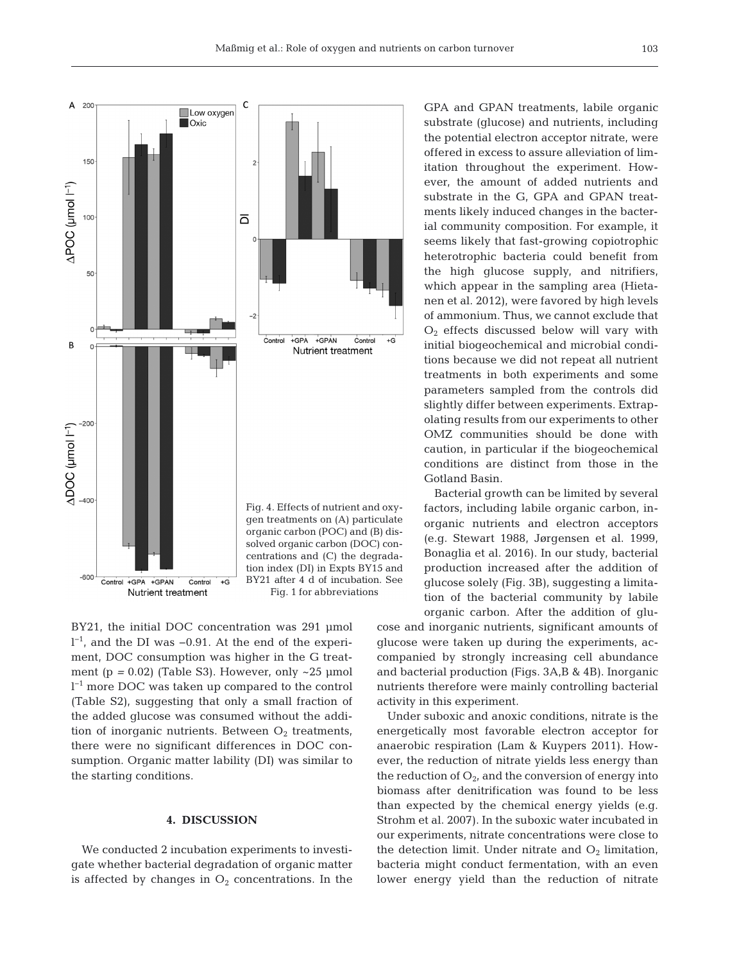

BY21, the initial DOC concentration was 291 µmol l −1, and the DI was −0.91. At the end of the experiment, DOC consumption was higher in the G treatment ( $p = 0.02$ ) (Table S3). However, only  $\sim$ 25 µmol l −1 more DOC was taken up compared to the control (Table S2), suggesting that only a small fraction of the added glucose was consumed without the addition of inorganic nutrients. Between  $O_2$  treatments, there were no significant differences in DOC consumption. Organic matter lability (DI) was similar to the starting conditions.

# **4. DISCUSSION**

We conducted 2 incubation experiments to investigate whether bacterial degradation of organic matter is affected by changes in  $O<sub>2</sub>$  concentrations. In the

GPA and GPAN treatments, labile organic substrate (glucose) and nutrients, including the potential electron acceptor nitrate, were offered in excess to assure alleviation of limitation throughout the experiment. However, the amount of added nutrients and substrate in the G, GPA and GPAN treatments likely induced changes in the bacterial community composition. For example, it seems likely that fast-growing copiotrophic heterotrophic bacteria could benefit from the high glucose supply, and nitrifiers, which appear in the sampling area (Hietanen et al. 2012), were favored by high levels of ammonium. Thus, we cannot exclude that  $O<sub>2</sub>$  effects discussed below will vary with initial biogeochemical and microbial conditions because we did not repeat all nutrient treatments in both experiments and some parameters sampled from the controls did slightly differ between experiments. Extrapolating results from our experiments to other OMZ communities should be done with caution, in particular if the biogeochemical conditions are distinct from those in the Gotland Basin.

Bacterial growth can be limited by several factors, including labile organic carbon, in organic nutrients and electron acceptors (e.g. Stewart 1988, Jørgensen et al. 1999, Bonaglia et al. 2016). In our study, bacterial production increased after the addition of glucose solely (Fig. 3B), suggesting a limitation of the bacterial community by labile organic carbon. After the addition of glu-

cose and inorganic nutrients, significant amounts of glucose were taken up during the experiments, accompanied by strongly increasing cell abundance and bacterial production (Figs. 3A,B & 4B). Inorganic nutrients therefore were mainly controlling bacterial activity in this experiment.

Under suboxic and anoxic conditions, nitrate is the energetically most favorable electron acceptor for anaerobic respiration (Lam & Kuypers 2011). However, the reduction of nitrate yields less energy than the reduction of  $O_{2}$ , and the conversion of energy into biomass after denitrification was found to be less than expected by the chemical energy yields (e.g. Strohm et al. 2007). In the suboxic water incubated in our experiments, nitrate concentrations were close to the detection limit. Under nitrate and  $O_2$  limitation, bacteria might conduct fermentation, with an even lower energy yield than the reduction of nitrate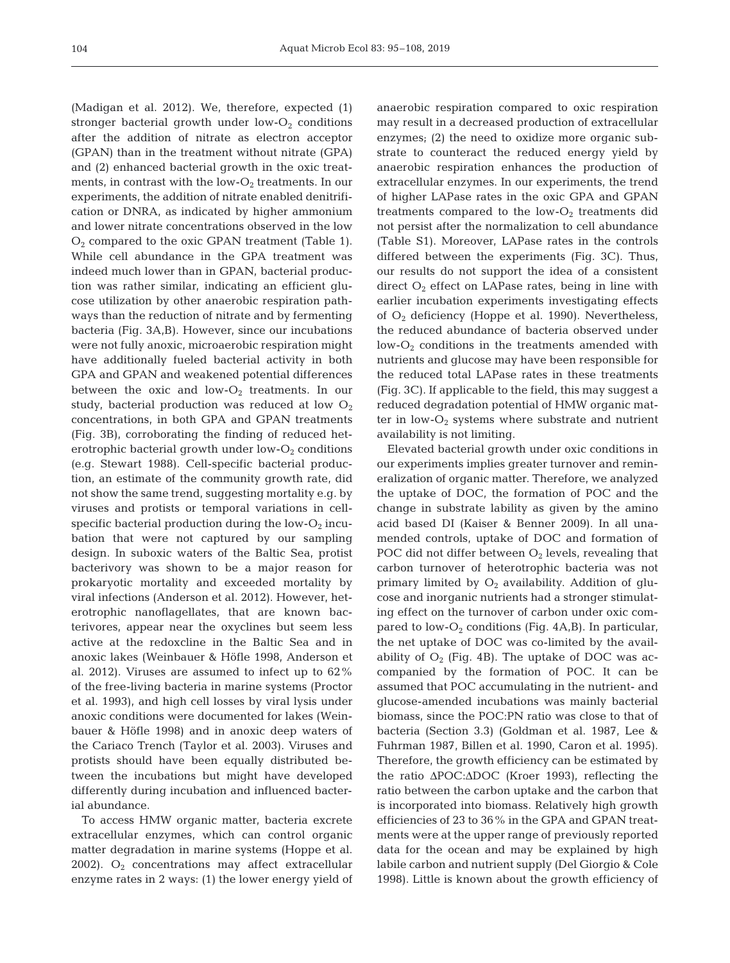(Madigan et al. 2012). We, therefore, expected (1) stronger bacterial growth under low- $O<sub>2</sub>$  conditions after the addition of nitrate as electron acceptor (GPAN) than in the treatment without nitrate (GPA) and (2) enhanced bacterial growth in the oxic treatments, in contrast with the low- $O_2$  treatments. In our experiments, the addition of nitrate enabled denitrification or DNRA, as indicated by higher ammonium and lower nitrate concentrations observed in the low  $O<sub>2</sub>$  compared to the oxic GPAN treatment (Table 1). While cell abundance in the GPA treatment was indeed much lower than in GPAN, bacterial production was rather similar, indicating an efficient glucose utilization by other anaerobic respiration pathways than the reduction of nitrate and by fermenting bacteria (Fig. 3A,B). However, since our incubations were not fully anoxic, microaerobic respiration might have additionally fueled bacterial activity in both GPA and GPAN and weakened potential differences between the oxic and  $low-O_2$  treatments. In our study, bacterial production was reduced at low  $O_2$ concentrations, in both GPA and GPAN treatments (Fig. 3B), corroborating the finding of reduced heterotrophic bacterial growth under  $low-O_2$  conditions (e.g. Stewart 1988). Cell-specific bacterial production, an estimate of the community growth rate, did not show the same trend, suggesting mortality e.g. by viruses and protists or temporal variations in cellspecific bacterial production during the low- $O_2$  incubation that were not captured by our sampling design. In suboxic waters of the Baltic Sea, protist bacterivory was shown to be a major reason for prokaryotic mortality and exceeded mortality by viral infections (Anderson et al. 2012). However, heterotrophic nanoflagellates, that are known bacterivores, appear near the oxyclines but seem less active at the redoxcline in the Baltic Sea and in anoxic lakes (Weinbauer & Höfle 1998, Anderson et al. 2012). Viruses are assumed to infect up to 62% of the free-living bacteria in marine systems (Proctor et al. 1993), and high cell losses by viral lysis under anoxic conditions were documented for lakes (Weinbauer & Höfle 1998) and in anoxic deep waters of the Cariaco Trench (Taylor et al. 2003). Viruses and protists should have been equally distributed be tween the incubations but might have developed differently during incubation and influenced bacterial abundance.

To access HMW organic matter, bacteria excrete extracellular enzymes, which can control organic matter degradation in marine systems (Hoppe et al. 2002).  $O_2$  concentrations may affect extracellular enzyme rates in 2 ways: (1) the lower energy yield of anaerobic respiration compared to oxic respiration may result in a decreased production of extracellular enzymes; (2) the need to oxidize more organic substrate to counteract the reduced energy yield by anaerobic respiration enhances the production of extracellular enzymes. In our experiments, the trend of higher LAPase rates in the oxic GPA and GPAN treatments compared to the low- $O_2$  treatments did not persist after the normalization to cell abundance (Table S1). Moreover, LAPase rates in the controls differed between the experiments (Fig. 3C). Thus, our results do not support the idea of a consistent direct  $O_2$  effect on LAPase rates, being in line with earlier incubation experiments investigating effects of  $O_2$  deficiency (Hoppe et al. 1990). Nevertheless, the reduced abundance of bacteria observed under low- $O_2$  conditions in the treatments amended with nutrients and glucose may have been responsible for the reduced total LAPase rates in these treatments (Fig. 3C). If applicable to the field, this may suggest a reduced degradation potential of HMW organic matter in  $low-O_2$  systems where substrate and nutrient availability is not limiting.

Elevated bacterial growth under oxic conditions in our experiments implies greater turnover and remineralization of organic matter. Therefore, we analyzed the uptake of DOC, the formation of POC and the change in substrate lability as given by the amino acid based DI (Kaiser & Benner 2009). In all unamended controls, uptake of DOC and formation of POC did not differ between  $O_2$  levels, revealing that carbon turnover of heterotrophic bacteria was not primary limited by  $O_2$  availability. Addition of glucose and inorganic nutrients had a stronger stimulating effect on the turnover of carbon under oxic compared to low- $O_2$  conditions (Fig. 4A,B). In particular, the net uptake of DOC was co-limited by the availability of  $O_2$  (Fig. 4B). The uptake of DOC was accompanied by the formation of POC. It can be assumed that POC accumulating in the nutrient- and glucose-amended incubations was mainly bacterial biomass, since the POC:PN ratio was close to that of bacteria (Section 3.3) (Goldman et al. 1987, Lee & Fuhrman 1987, Billen et al. 1990, Caron et al. 1995). Therefore, the growth efficiency can be estimated by the ratio ΔPOC:ΔDOC (Kroer 1993), reflecting the ratio between the carbon uptake and the carbon that is incorporated into biomass. Relatively high growth efficiencies of 23 to 36% in the GPA and GPAN treatments were at the upper range of previously reported data for the ocean and may be explained by high labile carbon and nutrient supply (Del Giorgio & Cole 1998). Little is known about the growth efficiency of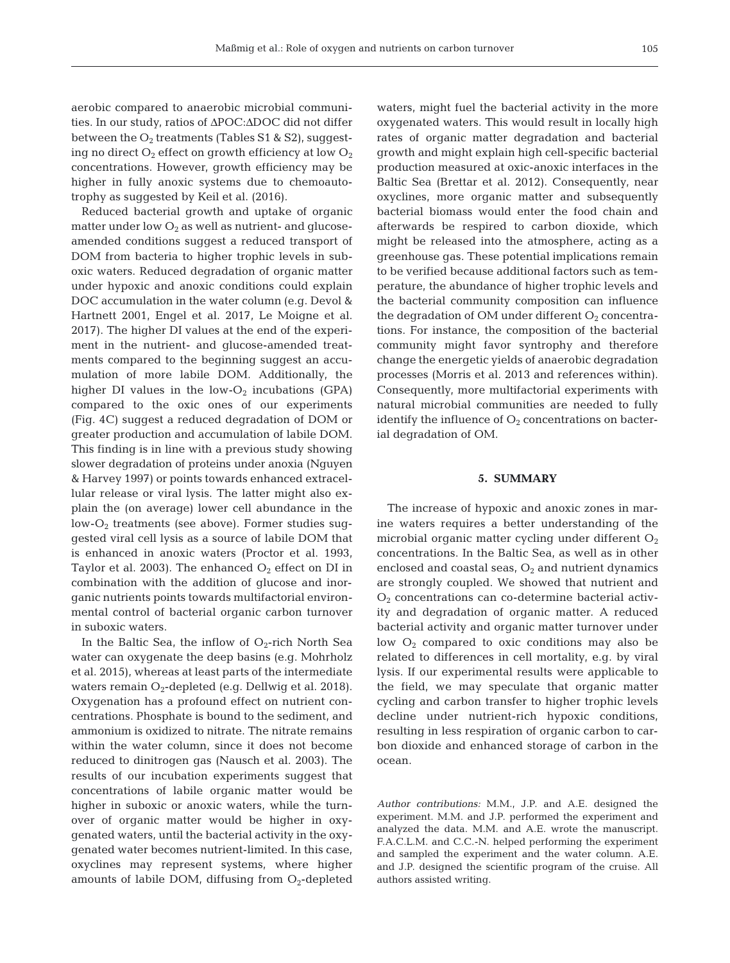aerobic compared to anaerobic microbial communities. In our study, ratios of ΔPOC:ΔDOC did not differ

between the  $O_2$  treatments (Tables S1 & S2), suggesting no direct  $O_2$  effect on growth efficiency at low  $O_2$ concentrations. However, growth efficiency may be higher in fully anoxic systems due to chemoautotrophy as suggested by Keil et al. (2016).

Reduced bacterial growth and uptake of organic matter under low  $O_2$  as well as nutrient- and glucoseamended conditions suggest a reduced transport of DOM from bacteria to higher trophic levels in suboxic waters. Reduced degradation of organic matter under hypoxic and anoxic conditions could explain DOC accumulation in the water column (e.g. Devol & Hartnett 2001, Engel et al. 2017, Le Moigne et al. 2017). The higher DI values at the end of the experiment in the nutrient- and glucose-amended treatments compared to the beginning suggest an accumulation of more labile DOM. Additionally, the higher DI values in the low- $O_2$  incubations (GPA) compared to the oxic ones of our experiments (Fig. 4C) suggest a reduced degradation of DOM or greater production and accumulation of labile DOM. This finding is in line with a previous study showing slower degradation of proteins under anoxia (Nguyen & Harvey 1997) or points towards enhanced extracellular release or viral lysis. The latter might also explain the (on average) lower cell abundance in the low- $O_2$  treatments (see above). Former studies suggested viral cell lysis as a source of labile DOM that is enhanced in anoxic waters (Proctor et al. 1993, Taylor et al. 2003). The enhanced  $O_2$  effect on DI in combination with the addition of glucose and inorganic nutrients points towards multifactorial environmental control of bacterial organic carbon turnover in suboxic waters.

In the Baltic Sea, the inflow of  $O_2$ -rich North Sea water can oxygenate the deep basins (e.g. Mohrholz et al. 2015), whereas at least parts of the intermediate waters remain O<sub>2</sub>-depleted (e.g. Dellwig et al. 2018). Oxygenation has a profound effect on nutrient concentrations. Phosphate is bound to the sediment, and ammonium is oxidized to nitrate. The nitrate remains within the water column, since it does not become reduced to dinitrogen gas (Nausch et al. 2003). The results of our incubation experiments suggest that concentrations of labile organic matter would be higher in suboxic or anoxic waters, while the turnover of organic matter would be higher in oxygenated waters, until the bacterial activity in the oxygenated water becomes nutrient-limited. In this case, oxyclines may represent systems, where higher amounts of labile DOM, diffusing from  $O_2$ -depleted

waters, might fuel the bacterial activity in the more oxygenated waters. This would result in locally high rates of organic matter degradation and bacterial growth and might explain high cell-specific bacterial production measured at oxic-anoxic interfaces in the Baltic Sea (Brettar et al. 2012). Consequently, near oxyclines, more organic matter and subsequently bacterial biomass would enter the food chain and afterwards be respired to carbon dioxide, which might be released into the atmosphere, acting as a greenhouse gas. These potential implications remain to be verified because additional factors such as temperature, the abundance of higher trophic levels and the bacterial community composition can influence the degradation of OM under different  $O_2$  concentrations. For instance, the composition of the bacterial community might favor syntrophy and therefore change the energetic yields of anaerobic degradation processes (Morris et al. 2013 and references within). Consequently, more multifactorial experiments with natural microbial communities are needed to fully identify the influence of  $O_2$  concentrations on bacterial degradation of OM.

### **5. SUMMARY**

The increase of hypoxic and anoxic zones in marine waters requires a better understanding of the microbial organic matter cycling under different  $O_2$ concentrations. In the Baltic Sea, as well as in other enclosed and coastal seas,  $O_2$  and nutrient dynamics are strongly coupled. We showed that nutrient and O2 concentrations can co-determine bacterial activity and degradation of organic matter. A reduced bacterial activity and organic matter turnover under low  $O_2$  compared to oxic conditions may also be related to differences in cell mortality, e.g. by viral lysis. If our experimental results were applicable to the field, we may speculate that organic matter cycling and carbon transfer to higher trophic levels decline under nutrient-rich hypoxic conditions, resulting in less respiration of organic carbon to carbon dioxide and enhanced storage of carbon in the ocean.

*Author contributions:* M.M., J.P. and A.E. designed the experiment. M.M. and J.P. performed the experiment and analyzed the data. M.M. and A.E. wrote the manuscript. F.A.C.L.M. and C.C.-N. helped performing the experiment and sampled the experiment and the water column. A.E. and J.P. designed the scientific program of the cruise. All authors assisted writing.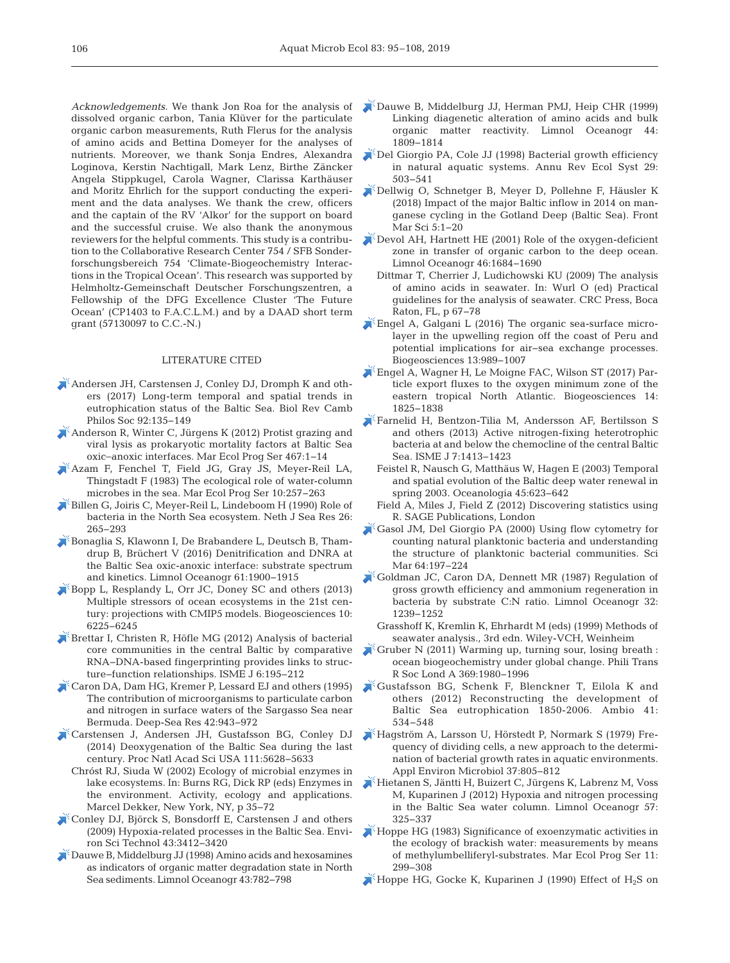*Acknowledgements.* We thank Jon Roa for the analysis of dissolved organic carbon, Tania Klüver for the particulate organic carbon measurements, Ruth Flerus for the analysis of amino acids and Bettina Domeyer for the analyses of nutrients. Moreover, we thank Sonja Endres, Alexandra Loginova, Kerstin Nachtigall, Mark Lenz, Birthe Zäncker Angela Stippkugel, Carola Wagner, Clarissa Karthäuser and Moritz Ehrlich for the support conducting the experiment and the data analyses. We thank the crew, officers and the captain of the RV 'Alkor' for the support on board and the successful cruise. We also thank the anonymous reviewers for the helpful comments. This study is a contribution to the Collaborative Research Center 754 / SFB Sonderforschungsbereich 754 'Climate-Biogeochemistry Interactions in the Tropical Ocean'. This research was supported by Helmholtz-Gemeinschaft Deutscher Forschungszentren, a Fellowship of the DFG Excellence Cluster 'The Future Ocean' (CP1403 to F.A.C.L.M.) and by a DAAD short term grant (57130097 to C.C.-N.)

## LITERATURE CITED

- [Andersen JH, Carstensen J, Conley DJ, Dromph K and oth](https://doi.org/10.1111/brv.12221)ers (2017) Long-term temporal and spatial trends in eutrophication status of the Baltic Sea. Biol Rev Camb Philos Soc 92: 135−149
- [Anderson R, Winter C, Jürgens K \(2012\) Protist grazing and](https://doi.org/10.3354/meps10001) viral lysis as prokaryotic mortality factors at Baltic Sea oxic−anoxic interfaces. Mar Ecol Prog Ser 467: 1−14
- [Azam F, Fenchel T, Field JG, Gray JS, Meyer-Reil LA,](https://doi.org/10.3354/meps010257) Thingstadt F (1983) The ecological role of water-column microbes in the sea. Mar Ecol Prog Ser 10:257–263
- [Billen G, Joiris C, Meyer-Reil L, Lindeboom H \(1990\) Role of](https://doi.org/10.1016/0077-7579(90)90093-V) bacteria in the North Sea ecosystem. Neth J Sea Res 26: 265−293
- [Bonaglia S, Klawonn I, De Brabandere L, Deutsch B, Tham](https://doi.org/10.1002/lno.10343)drup B, Brüchert V (2016) Denitrification and DNRA at the Baltic Sea oxic-anoxic interface: substrate spectrum and kinetics. Limnol Oceanogr 61: 1900−1915
- [Bopp L, Resplandy L, Orr JC, Doney SC and others \(2013\)](https://doi.org/10.5194/bg-10-6225-2013) Multiple stressors of ocean ecosystems in the 21st century: projections with CMIP5 models. Biogeosciences 10: 6225−6245
- [Brettar I, Christen R, Höfle MG \(2012\) Analysis of bacterial](https://doi.org/10.1038/ismej.2011.80) core communities in the central Baltic by comparative RNA−DNA-based fingerprinting provides links to structure−function relationships. ISME J 6: 195−212
- [Caron DA, Dam HG, Kremer P, Lessard EJ and others \(1995\)](https://doi.org/10.1016/0967-0637(95)00027-4) The contribution of microorganisms to particulate carbon and nitrogen in surface waters of the Sargasso Sea near Bermuda. Deep-Sea Res 42:943-972
- [Carstensen J, Andersen JH, Gustafsson BG, Conley DJ](https://doi.org/10.1073/pnas.1323156111) (2014) Deoxygenation of the Baltic Sea during the last century. Proc Natl Acad Sci USA 111: 5628−5633
	- Chróst RJ, Siuda W (2002) Ecology of microbial enzymes in lake ecosystems. In: Burns RG, Dick RP (eds) Enzymes in the environment. Activity, ecology and applications. Marcel Dekker, New York, NY, p 35−72
- [Conley DJ, Björck S, Bonsdorff E, Carstensen J and others](https://doi.org/10.1021/es802762a) (2009) Hypoxia-related processes in the Baltic Sea. Environ Sci Technol 43: 3412−3420
- [Dauwe B, Middelburg JJ \(1998\) Amino acids and hexosamines](https://doi.org/10.4319/lo.1998.43.5.0782) as indicators of organic matter degradation state in North Sea sediments. Limnol Oceanogr 43:782-798
- [Dauwe B, Middelburg JJ, Herman PMJ, Heip CHR \(1999\)](https://doi.org/10.4319/lo.1999.44.7.1809) Linking diagenetic alteration of amino acids and bulk organic matter reactivity. Limnol Oceanogr 44: 1809−1814
- [Del Giorgio PA, Cole JJ \(1998\) Bacterial growth efficiency](https://doi.org/10.1146/annurev.ecolsys.29.1.503) in natural aquatic systems. Annu Rev Ecol Syst 29: 503−541
- [Dellwig O, Schnetger B, Meyer D, Pollehne F, Häusler K](https://doi.org/10.3389/fmars.2018.00248) (2018) Impact of the major Baltic inflow in 2014 on manganese cycling in the Gotland Deep (Baltic Sea). Front Mar Sci 5: 1−20
- [Devol AH, Hartnett HE \(2001\) Role of the oxygen-deficient](https://doi.org/10.4319/lo.2001.46.7.1684) zone in transfer of organic carbon to the deep ocean. Limnol Oceanogr 46: 1684−1690
- Dittmar T, Cherrier J, Ludichowski KU (2009) The analysis of amino acids in seawater. In:Wurl O (ed) Practical guidelines for the analysis of seawater. CRC Press, Boca Raton, FL, p 67−78
- [Engel A, Galgani L \(2016\) The organic sea-surface micro](https://doi.org/10.5194/bg-13-989-2016)layer in the upwelling region off the coast of Peru and potential implications for air−sea exchange processes. Biogeosciences 13:989-1007
- [Engel A, Wagner H, Le Moigne FAC, Wilson ST \(2017\) Par](https://doi.org/10.5194/bg-14-1825-2017)ticle export fluxes to the oxygen minimum zone of the eastern tropical North Atlantic. Biogeosciences 14: 1825−1838
- [Farnelid H, Bentzon-Tilia M, Andersson AF, Bertilsson S](https://doi.org/10.1038/ismej.2013.26) and others (2013) Active nitrogen-fixing heterotrophic bacteria at and below the chemocline of the central Baltic Sea. ISME J 7: 1413−1423
	- Feistel R, Nausch G, Matthäus W, Hagen E (2003) Temporal and spatial evolution of the Baltic deep water renewal in spring 2003. Oceanologia 45:623–642
	- Field A, Miles J, Field Z (2012) Discovering statistics using R. SAGE Publications, London
- $K$ [Gasol JM, Del Giorgio PA \(2000\) Using flow cytometry for](https://doi.org/10.3989/scimar.2000.64n2197) counting natural planktonic bacteria and understanding the structure of planktonic bacterial communities. Sci Mar 64: 197−224
- [Goldman JC, Caron DA, Dennett MR \(1987\) Regulation of](https://doi.org/10.4319/lo.1987.32.6.1239) gross growth efficiency and ammonium regeneration in bacteria by substrate C:N ratio. Limnol Oceanogr 32: 1239−1252
	- Grasshoff K, Kremlin K, Ehrhardt M (eds) (1999) Methods of seawater analysis., 3rd edn. Wiley-VCH, Weinheim
- [Gruber N \(2011\) Warming up, turning sour, losing breath :](https://doi.org/10.1098/rsta.2011.0003)  ocean biogeochemistry under global change. Phili Trans R Soc Lond A 369: 1980−1996
- [Gustafsson BG, Schenk F, Blenckner T, Eilola K and](https://doi.org/10.1007/s13280-012-0318-x) others (2012) Reconstructing the development of Baltic Sea eutrophication 1850-2006. Ambio 41: 534−548
- [Hagström A, Larsson U, Hörstedt P, Normark S \(1979\) Fre](https://www.ncbi.nlm.nih.gov/entrez/query.fcgi?cmd=Retrieve&db=PubMed&list_uids=16345378&dopt=Abstract)quency of dividing cells, a new approach to the determination of bacterial growth rates in aquatic environments. Appl Environ Microbiol 37: 805−812
- [Hietanen S, Jäntti H, Buizert C, Jürgens K, Labrenz M, Voss](https://doi.org/10.4319/lo.2012.57.1.0325) M, Kuparinen J (2012) Hypoxia and nitrogen processing in the Baltic Sea water column. Limnol Oceanogr 57: 325−337
- [Hoppe HG \(1983\) Significance of exoenzymatic activities in](https://doi.org/10.3354/meps011299) the ecology of brackish water: measurements by means of methylumbelliferyl-substrates. Mar Ecol Prog Ser 11: 299−308
- Hoppe HG, Gocke K, Kuparinen J (1990) Effect of  $H_2S$  on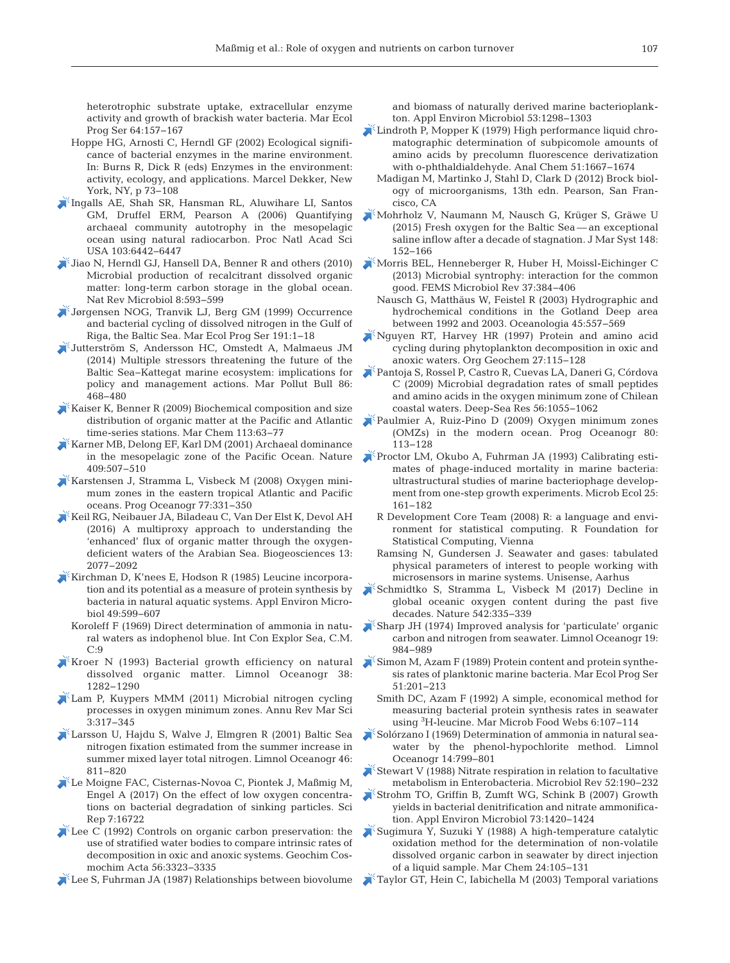heterotrophic substrate uptake, extracellular enzyme activity and growth of brackish water bacteria. Mar Ecol Prog Ser 64:157-167

- Hoppe HG, Arnosti C, Herndl GF (2002) Ecological significance of bacterial enzymes in the marine environment. In: Burns R, Dick R (eds) Enzymes in the environment: activity, ecology, and applications. Marcel Dekker, New York, NY, p 73−108
- [Ingalls AE, Shah SR, Hansman RL, Aluwihare LI, Santos](https://doi.org/10.1073/pnas.0510157103) GM, Druffel ERM, Pearson A (2006) Quantifying archaeal community autotrophy in the mesopelagic ocean using natural radiocarbon. Proc Natl Acad Sci USA 103:6442-6447
- $\blacktriangleright$  [Jiao N, Herndl GJ, Hansell DA, Benner R and others \(2010\)](https://doi.org/10.1038/nrmicro2386) Microbial production of recalcitrant dissolved organic matter: long-term carbon storage in the global ocean. Nat Rev Microbiol 8:593-599
- [Jørgensen NOG, Tranvik LJ, Berg GM \(1999\) Occurrence](https://doi.org/10.3354/meps191001) and bacterial cycling of dissolved nitrogen in the Gulf of Riga, the Baltic Sea. Mar Ecol Prog Ser 191:1–18
- [Jutterström S, Andersson HC, Omstedt A, Malmaeus JM](https://doi.org/10.1016/j.marpolbul.2014.06.027) (2014) Multiple stressors threatening the future of the Baltic Sea–Kattegat marine ecosystem: implications for policy and management actions. Mar Pollut Bull 86: 468−480
- $\blacktriangleright$  [Kaiser K, Benner R \(2009\) Biochemical composition and size](https://doi.org/10.1016/j.marchem.2008.12.004) distribution of organic matter at the Pacific and Atlantic time-series stations. Mar Chem 113:63-77
- [Karner MB, Delong EF, Karl DM \(2001\) Archaeal dominance](https://doi.org/10.1038/35054051) in the mesopelagic zone of the Pacific Ocean. Nature 409: 507−510
- [Karstensen J, Stramma L, Visbeck M \(2008\) Oxygen mini](https://doi.org/10.1016/j.pocean.2007.05.009)mum zones in the eastern tropical Atlantic and Pacific oceans. Prog Oceanogr 77: 331−350
- [Keil RG, Neibauer JA, Biladeau C, Van Der Elst K, Devol AH](https://doi.org/10.5194/bg-13-2077-2016) (2016) A multiproxy approach to understanding the 'enhanced' flux of organic matter through the oxygendeficient waters of the Arabian Sea. Biogeosciences 13: 2077−2092
- [Kirchman D, K'nees E, Hodson R \(1985\) Leucine incorpora](https://www.ncbi.nlm.nih.gov/entrez/query.fcgi?cmd=Retrieve&db=PubMed&list_uids=3994368&dopt=Abstract)tion and its potential as a measure of protein synthesis by bacteria in natural aquatic systems. Appl Environ Microbiol 49: 599−607
	- Koroleff F (1969) Direct determination of ammonia in natural waters as indophenol blue. Int Con Explor Sea, C.M. C:9
- [Kroer N \(1993\) Bacterial growth efficiency on natural](https://doi.org/10.4319/lo.1993.38.6.1282) dissolved organic matter. Limnol Oceanogr 38: 1282−1290
- [Lam P, Kuypers MMM \(2011\) Microbial nitrogen cycling](https://doi.org/10.1146/annurev-marine-120709-142814) processes in oxygen minimum zones. Annu Rev Mar Sci 3: 317−345
- [Larsson U, Hajdu S, Walve J, Elmgren R \(2001\) Baltic Sea](https://doi.org/10.4319/lo.2001.46.4.0811) nitrogen fixation estimated from the summer increase in summer mixed layer total nitrogen. Limnol Oceanogr 46: 811−820
- [Le Moigne FAC, Cisternas-Novoa C, Piontek J, Maßmig M,](https://doi.org/10.1038/s41598-017-16903-3) Engel A (2017) On the effect of low oxygen concentrations on bacterial degradation of sinking particles. Sci Rep 7: 16722
- $\blacktriangleright$  Lee C (1992) Controls on organic carbon preservation: the use of stratified water bodies to compare intrinsic rates of decomposition in oxic and anoxic systems. Geochim Cosmochim Acta 56:3323-3335
- [Lee S, Fuhrman JA \(1987\) Relationships between biovolume](https://www.ncbi.nlm.nih.gov/entrez/query.fcgi?cmd=Retrieve&db=PubMed&list_uids=16347362&dopt=Abstract)

and biomass of naturally derived marine bacterioplankton. Appl Environ Microbiol 53: 1298−1303

- [Lindroth P, Mopper K \(1979\) High performance liquid chro](https://doi.org/10.1021/ac50047a019)matographic determination of subpicomole amounts of amino acids by precolumn fluorescence derivatization with o-phthaldialdehyde. Anal Chem 51: 1667−1674
	- Madigan M, Martinko J, Stahl D, Clark D (2012) Brock biology of microorganisms, 13th edn. Pearson, San Francisco, CA
- [Mohrholz V, Naumann M, Nausch G, Krüger S, Gräwe U](https://doi.org/10.1016/j.jmarsys.2015.03.005) (2015) Fresh oxygen for the Baltic Sea — an exceptional saline inflow after a decade of stagnation. J Mar Syst 148: 152−166
- [Morris BEL, Henneberger R, Huber H, Moissl-Eichinger C](https://doi.org/10.1111/1574-6976.12019) (2013) Microbial syntrophy: interaction for the common good. FEMS Microbiol Rev 37:384-406
	- Nausch G, Matthäus W, Feistel R (2003) Hydrographic and hydrochemical conditions in the Gotland Deep area between 1992 and 2003. Oceanologia 45:557-569
- [Nguyen RT, Harvey HR \(1997\) Protein and amino acid](https://doi.org/10.1016/S0146-6380(97)00076-4) cycling during phytoplankton decomposition in oxic and anoxic waters. Org Geochem 27: 115−128
- [Pantoja S, Rossel P, Castro R, Cuevas LA, Daneri G, Córdova](https://doi.org/10.1016/j.dsr2.2008.09.007) C (2009) Microbial degradation rates of small peptides and amino acids in the oxygen minimum zone of Chilean coastal waters. Deep-Sea Res 56: 1055−1062
- [Paulmier A, Ruiz-Pino D \(2009\) Oxygen minimum zones](https://doi.org/10.1016/j.pocean.2008.08.001) (OMZs) in the modern ocean. Prog Oceanogr 80: 113−128
- [Proctor LM, Okubo A, Fuhrman JA \(1993\) Calibrating esti](https://doi.org/10.1007/BF00177193)mates of phage-induced mortality in marine bacteria: ultrastructural studies of marine bacteriophage development from one-step growth experiments. Microb Ecol 25: 161−182
	- R Development Core Team (2008) R: a language and environment for statistical computing. R Foundation for Statistical Computing, Vienna
	- Ramsing N, Gundersen J. Seawater and gases: tabulated physical parameters of interest to people working with microsensors in marine systems. Unisense, Aarhus
- [Schmidtko S, Stramma L, Visbeck M \(2017\) Decline in](https://doi.org/10.1038/nature21399) global oceanic oxygen content during the past five decades. Nature 542: 335−339
- [Sharp JH \(1974\) Improved analysis for 'particulate' organic](https://doi.org/10.4319/lo.1974.19.6.0984) carbon and nitrogen from seawater. Limnol Oceanogr 19: 984−989
- [Simon M, Azam F \(1989\) Protein content and protein synthe](https://doi.org/10.3354/meps051201)sis rates of planktonic marine bacteria. Mar Ecol Prog Ser 51: 201−213
	- Smith DC, Azam F (1992) A simple, economical method for measuring bacterial protein synthesis rates in seawater using 3 H-leucine. Mar Microb Food Webs 6: 107−114
- [Solórzano I \(1969\) Determination of ammonia in natural sea](https://doi.org/10.4319/lo.1969.14.5.0799)water by the phenol-hypochlorite method. Limnol Oceanogr 14: 799−801
- [Stewart V \(1988\) Nitrate respiration in relation to facultative](https://www.ncbi.nlm.nih.gov/entrez/query.fcgi?cmd=Retrieve&db=PubMed&list_uids=3045516&dopt=Abstract) metabolism in Enterobacteria. Microbiol Rev 52: 190−232
- [Strohm TO, Griffin B, Zumft WG, Schink B \(2007\) Growth](https://doi.org/10.1128/AEM.02508-06) yields in bacterial denitrification and nitrate ammonification. Appl Environ Microbiol 73: 1420−1424
- [Sugimura Y, Suzuki Y \(1988\) A high-temperature catalytic](https://doi.org/10.1016/0304-4203(88)90043-6) oxidation method for the determination of non-volatile dissolved organic carbon in seawater by direct injection of a liquid sample. Mar Chem 24: 105−131
- [Taylor GT, Hein C, Iabichella M \(2003\) Temporal variations](https://doi.org/10.3354/ame030103)